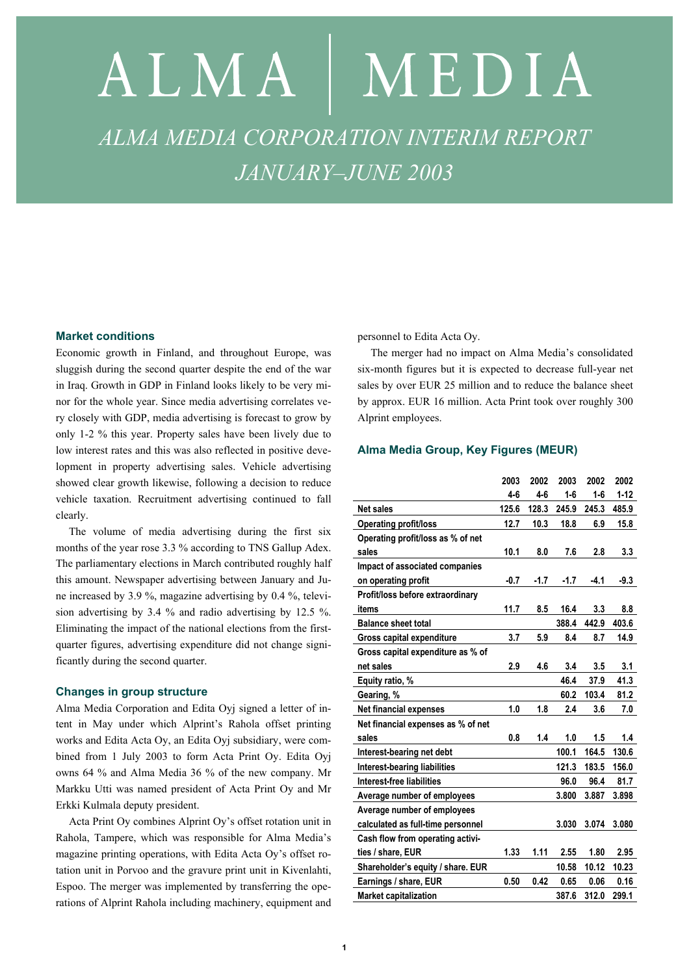# ALMA | MEDIA *ALMA MEDIA CORPORATION INTERIM REPORT JANUARY–JUNE 2003*

# **Market conditions**

Economic growth in Finland, and throughout Europe, was sluggish during the second quarter despite the end of the war in Iraq. Growth in GDP in Finland looks likely to be very minor for the whole year. Since media advertising correlates very closely with GDP, media advertising is forecast to grow by only 1-2 % this year. Property sales have been lively due to low interest rates and this was also reflected in positive development in property advertising sales. Vehicle advertising showed clear growth likewise, following a decision to reduce vehicle taxation. Recruitment advertising continued to fall clearly.

The volume of media advertising during the first six months of the year rose 3.3 % according to TNS Gallup Adex. The parliamentary elections in March contributed roughly half this amount. Newspaper advertising between January and June increased by 3.9 %, magazine advertising by 0.4 %, television advertising by 3.4 % and radio advertising by 12.5 %. Eliminating the impact of the national elections from the firstquarter figures, advertising expenditure did not change significantly during the second quarter.

## **Changes in group structure**

Alma Media Corporation and Edita Oyj signed a letter of intent in May under which Alprint's Rahola offset printing works and Edita Acta Oy, an Edita Oyj subsidiary, were combined from 1 July 2003 to form Acta Print Oy. Edita Oyj owns 64 % and Alma Media 36 % of the new company. Mr Markku Utti was named president of Acta Print Oy and Mr Erkki Kulmala deputy president.

Acta Print Oy combines Alprint Oy's offset rotation unit in Rahola, Tampere, which was responsible for Alma Media's magazine printing operations, with Edita Acta Oy's offset rotation unit in Porvoo and the gravure print unit in Kivenlahti, Espoo. The merger was implemented by transferring the operations of Alprint Rahola including machinery, equipment and

personnel to Edita Acta Oy.

The merger had no impact on Alma Media's consolidated six-month figures but it is expected to decrease full-year net sales by over EUR 25 million and to reduce the balance sheet by approx. EUR 16 million. Acta Print took over roughly 300 Alprint employees.

## **Alma Media Group, Key Figures (MEUR)**

|                                     | 2003   | 2002   | 2003   | 2002    | 2002     |
|-------------------------------------|--------|--------|--------|---------|----------|
|                                     | 4-6    | $4-6$  | $1-6$  | $1 - 6$ | $1 - 12$ |
| <b>Net sales</b>                    | 125.6  | 128.3  | 245.9  | 245.3   | 485.9    |
| <b>Operating profit/loss</b>        | 12.7   | 10.3   | 18.8   | 6.9     | 15.8     |
| Operating profit/loss as % of net   |        |        |        |         |          |
| sales                               | 10.1   | 8.0    | 7.6    | 2.8     | 3.3      |
| Impact of associated companies      |        |        |        |         |          |
| on operating profit                 | $-0.7$ | $-1.7$ | $-1.7$ | $-4.1$  | $-9.3$   |
| Profit/loss before extraordinary    |        |        |        |         |          |
| items                               | 11.7   | 8.5    | 16.4   | 3.3     | 8.8      |
| <b>Balance sheet total</b>          |        |        | 388.4  | 442.9   | 403.6    |
| Gross capital expenditure           | 3.7    | 5.9    | 8.4    | 8.7     | 14.9     |
| Gross capital expenditure as % of   |        |        |        |         |          |
| net sales                           | 2.9    | 4.6    | 3.4    | 3.5     | 3.1      |
| Equity ratio, %                     |        |        | 46.4   | 37.9    | 41.3     |
| Gearing, %                          |        |        | 60.2   | 103.4   | 81.2     |
| Net financial expenses              | 1.0    | 1.8    | 2.4    | 3.6     | 7.0      |
| Net financial expenses as % of net  |        |        |        |         |          |
| sales                               | 0.8    | 1.4    | 1.0    | 1.5     | 1.4      |
| Interest-bearing net debt           |        |        | 100.1  | 164.5   | 130.6    |
| <b>Interest-bearing liabilities</b> |        |        | 121.3  | 183.5   | 156.0    |
| Interest-free liabilities           |        |        | 96.0   | 96.4    | 81.7     |
| Average number of employees         |        |        | 3.800  | 3.887   | 3.898    |
| Average number of employees         |        |        |        |         |          |
| calculated as full-time personnel   |        |        | 3.030  | 3.074   | 3.080    |
| Cash flow from operating activi-    |        |        |        |         |          |
| ties / share, EUR                   | 1.33   | 1.11   | 2.55   | 1.80    | 2.95     |
| Shareholder's equity / share. EUR   |        |        | 10.58  | 10.12   | 10.23    |
| Earnings / share, EUR               | 0.50   | 0.42   | 0.65   | 0.06    | 0.16     |
| <b>Market capitalization</b>        |        |        | 387.6  | 312.0   | 299.1    |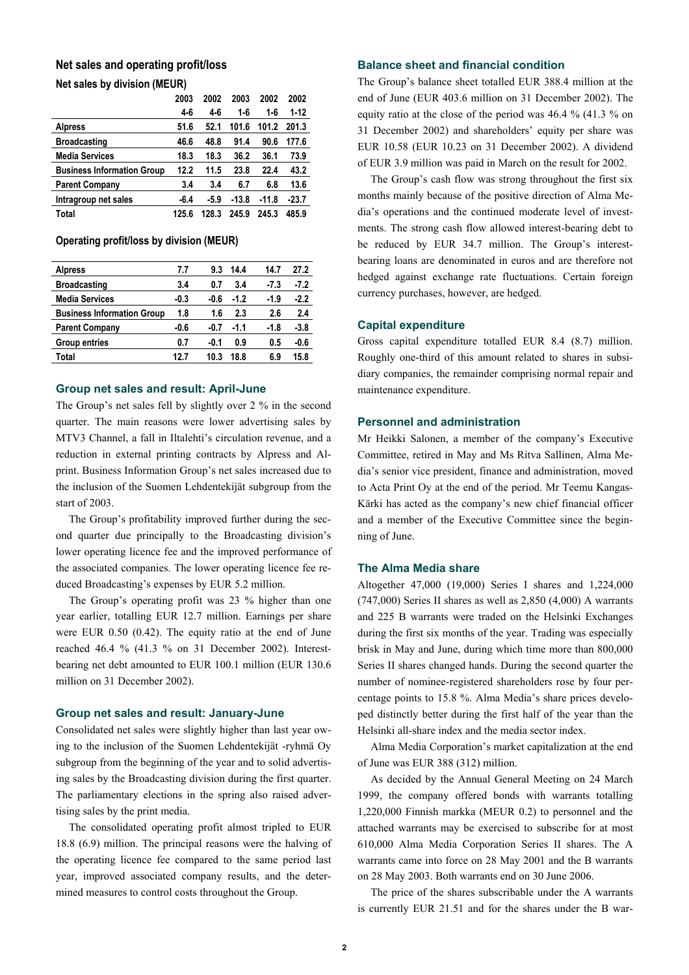# **Net sales and operating profit/loss Net sales by division (MEUR)**

|                                   | 2003  | 2002   | 2003    | 2002    | 2002     |
|-----------------------------------|-------|--------|---------|---------|----------|
|                                   | 4-6   | 4-6    | 1-6     | 1-6     | $1 - 12$ |
| <b>Alpress</b>                    | 51.6  | 52.1   | 101.6   | 101.2   | 201.3    |
| <b>Broadcasting</b>               | 46.6  | 48.8   | 91.4    | 90.6    | 177.6    |
| <b>Media Services</b>             | 18.3  | 18.3   | 36.2    | 36.1    | 73.9     |
| <b>Business Information Group</b> | 12.2  | 11.5   | 23.8    | 22.4    | 43.2     |
| <b>Parent Company</b>             | 3.4   | 3.4    | 6.7     | 6.8     | 13.6     |
| Intragroup net sales              | -6.4  | $-5.9$ | $-13.8$ | $-11.8$ | $-23.7$  |
| Total                             | 125.6 | 128.3  | 245.9   | 245.3   | 485.9    |

#### **Operating profit/loss by division (MEUR)**

| <b>Alpress</b>                    | 7.7    | 9.3    | 14.4   | 14.7   | 27.2   |
|-----------------------------------|--------|--------|--------|--------|--------|
| <b>Broadcasting</b>               | 3.4    | 0.7    | 3.4    | $-7.3$ | $-7.2$ |
| <b>Media Services</b>             | $-0.3$ | $-0.6$ | $-1.2$ | $-1.9$ | $-2.2$ |
| <b>Business Information Group</b> | 1.8    | 1.6    | 2.3    | 2.6    | 2.4    |
| <b>Parent Company</b>             | -0.6   | -0.7   | -1.1   | -1.8   | $-3.8$ |
| <b>Group entries</b>              | 0.7    | -0.1   | 0.9    | 0.5    | $-0.6$ |
| Total                             | 12.7   | 10.3   | 18.8   | 6.9    | 15.8   |

#### **Group net sales and result: April-June**

The Group's net sales fell by slightly over 2 % in the second quarter. The main reasons were lower advertising sales by MTV3 Channel, a fall in Iltalehti's circulation revenue, and a reduction in external printing contracts by Alpress and Alprint. Business Information Group's net sales increased due to the inclusion of the Suomen Lehdentekijät subgroup from the start of 2003.

The Group's profitability improved further during the second quarter due principally to the Broadcasting division's lower operating licence fee and the improved performance of the associated companies. The lower operating licence fee reduced Broadcasting's expenses by EUR 5.2 million.

The Group's operating profit was 23 % higher than one year earlier, totalling EUR 12.7 million. Earnings per share were EUR 0.50 (0.42). The equity ratio at the end of June reached 46.4 % (41.3 % on 31 December 2002). Interestbearing net debt amounted to EUR 100.1 million (EUR 130.6 million on 31 December 2002).

#### **Group net sales and result: January-June**

Consolidated net sales were slightly higher than last year owing to the inclusion of the Suomen Lehdentekijät -ryhmä Oy subgroup from the beginning of the year and to solid advertising sales by the Broadcasting division during the first quarter. The parliamentary elections in the spring also raised advertising sales by the print media.

The consolidated operating profit almost tripled to EUR 18.8 (6.9) million. The principal reasons were the halving of the operating licence fee compared to the same period last year, improved associated company results, and the determined measures to control costs throughout the Group.

# **Balance sheet and financial condition**

The Group's balance sheet totalled EUR 388.4 million at the end of June (EUR 403.6 million on 31 December 2002). The equity ratio at the close of the period was 46.4 % (41.3 % on 31 December 2002) and shareholders' equity per share was EUR 10.58 (EUR 10.23 on 31 December 2002). A dividend of EUR 3.9 million was paid in March on the result for 2002.

The Group's cash flow was strong throughout the first six months mainly because of the positive direction of Alma Media's operations and the continued moderate level of investments. The strong cash flow allowed interest-bearing debt to be reduced by EUR 34.7 million. The Group's interestbearing loans are denominated in euros and are therefore not hedged against exchange rate fluctuations. Certain foreign currency purchases, however, are hedged.

#### **Capital expenditure**

Gross capital expenditure totalled EUR 8.4 (8.7) million. Roughly one-third of this amount related to shares in subsidiary companies, the remainder comprising normal repair and maintenance expenditure.

#### **Personnel and administration**

Mr Heikki Salonen, a member of the company's Executive Committee, retired in May and Ms Ritva Sallinen, Alma Media's senior vice president, finance and administration, moved to Acta Print Oy at the end of the period. Mr Teemu Kangas-Kärki has acted as the company's new chief financial officer and a member of the Executive Committee since the beginning of June.

#### **The Alma Media share**

Altogether 47,000 (19,000) Series I shares and 1,224,000 (747,000) Series II shares as well as 2,850 (4,000) A warrants and 225 B warrants were traded on the Helsinki Exchanges during the first six months of the year. Trading was especially brisk in May and June, during which time more than 800,000 Series II shares changed hands. During the second quarter the number of nominee-registered shareholders rose by four percentage points to 15.8 %. Alma Media's share prices developed distinctly better during the first half of the year than the Helsinki all-share index and the media sector index.

Alma Media Corporation's market capitalization at the end of June was EUR 388 (312) million.

As decided by the Annual General Meeting on 24 March 1999, the company offered bonds with warrants totalling 1,220,000 Finnish markka (MEUR 0.2) to personnel and the attached warrants may be exercised to subscribe for at most 610,000 Alma Media Corporation Series II shares. The A warrants came into force on 28 May 2001 and the B warrants on 28 May 2003. Both warrants end on 30 June 2006.

The price of the shares subscribable under the A warrants is currently EUR 21.51 and for the shares under the B war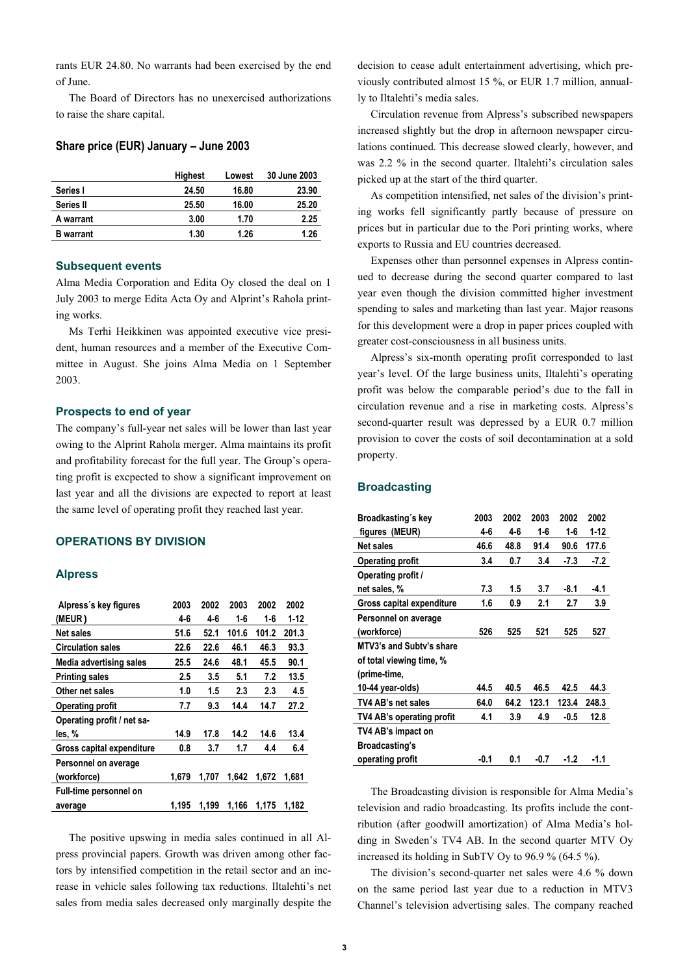rants EUR 24.80. No warrants had been exercised by the end of June.

The Board of Directors has no unexercised authorizations to raise the share capital.

#### **Share price (EUR) January – June 2003**

|                  | <b>Highest</b> | Lowest | 30 June 2003 |
|------------------|----------------|--------|--------------|
| Series I         | 24.50          | 16.80  | 23.90        |
| Series II        | 25.50          | 16.00  | 25.20        |
| A warrant        | 3.00           | 1.70   | 2.25         |
| <b>B</b> warrant | 1.30           | 1.26   | 1.26         |

#### **Subsequent events**

Alma Media Corporation and Edita Oy closed the deal on 1 July 2003 to merge Edita Acta Oy and Alprint's Rahola printing works.

Ms Terhi Heikkinen was appointed executive vice president, human resources and a member of the Executive Committee in August. She joins Alma Media on 1 September 2003.

## **Prospects to end of year**

The company's full-year net sales will be lower than last year owing to the Alprint Rahola merger. Alma maintains its profit and profitability forecast for the full year. The Group's operating profit is excpected to show a significant improvement on last year and all the divisions are expected to report at least the same level of operating profit they reached last year.

# **OPERATIONS BY DIVISION**

#### **Alpress**

| Alpress's key figures          | 2003  | 2002  | 2003  | 2002  | 2002  |
|--------------------------------|-------|-------|-------|-------|-------|
| (MEUR)                         | 4-6   | 4-6   | 1-6   | 1-6   | 1-12  |
| <b>Net sales</b>               | 51.6  | 52.1  | 101.6 | 101.2 | 201.3 |
| <b>Circulation sales</b>       | 22.6  | 22.6  | 46.1  | 46.3  | 93.3  |
| <b>Media advertising sales</b> | 25.5  | 24.6  | 48.1  | 45.5  | 90.1  |
| <b>Printing sales</b>          | 2.5   | 3.5   | 5.1   | 7.2   | 13.5  |
| Other net sales                | 1.0   | 1.5   | 2.3   | 2.3   | 4.5   |
| <b>Operating profit</b>        | 7.7   | 9.3   | 14.4  | 14.7  | 27.2  |
| Operating profit / net sa-     |       |       |       |       |       |
| les, %                         | 14.9  | 17.8  | 14.2  | 14.6  | 13.4  |
| Gross capital expenditure      | 0.8   | 3.7   | 1.7   | 4.4   | 6.4   |
| Personnel on average           |       |       |       |       |       |
| (workforce)                    | 1,679 | 1.707 | 1.642 | 1.672 | 1.681 |
| Full-time personnel on         |       |       |       |       |       |
| average                        | 1.195 | 1.199 | 1.166 | 1.175 | 1.182 |

The positive upswing in media sales continued in all Alpress provincial papers. Growth was driven among other factors by intensified competition in the retail sector and an increase in vehicle sales following tax reductions. Iltalehti's net sales from media sales decreased only marginally despite the decision to cease adult entertainment advertising, which previously contributed almost 15 %, or EUR 1.7 million, annually to Iltalehti's media sales.

Circulation revenue from Alpress's subscribed newspapers increased slightly but the drop in afternoon newspaper circulations continued. This decrease slowed clearly, however, and was 2.2 % in the second quarter. Iltalehti's circulation sales picked up at the start of the third quarter.

As competition intensified, net sales of the division's printing works fell significantly partly because of pressure on prices but in particular due to the Pori printing works, where exports to Russia and EU countries decreased.

Expenses other than personnel expenses in Alpress continued to decrease during the second quarter compared to last year even though the division committed higher investment spending to sales and marketing than last year. Major reasons for this development were a drop in paper prices coupled with greater cost-consciousness in all business units.

Alpress's six-month operating profit corresponded to last year's level. Of the large business units, Iltalehti's operating profit was below the comparable period's due to the fall in circulation revenue and a rise in marketing costs. Alpress's second-quarter result was depressed by a EUR 0.7 million provision to cover the costs of soil decontamination at a sold property.

## **Broadcasting**

| Broadkasting's key        | 2003    | 2002 | 2003  | 2002    | 2002  |
|---------------------------|---------|------|-------|---------|-------|
| figures (MEUR)            | $4 - 6$ | 4-6  | 1-6   | $1 - 6$ | 1-12  |
| Net sales                 | 46.6    | 48.8 | 91.4  | 90.6    | 177.6 |
| <b>Operating profit</b>   | 3.4     | 0.7  | 3.4   | $-7.3$  | -7.2  |
| Operating profit /        |         |      |       |         |       |
| net sales, %              | 7.3     | 1.5  | 3.7   | -8.1    | -4.1  |
| Gross capital expenditure | 1.6     | 0.9  | 2.1   | 2.7     | 3.9   |
| Personnel on average      |         |      |       |         |       |
| (workforce)               | 526     | 525  | 521   | 525     | 527   |
| MTV3's and Subty's share  |         |      |       |         |       |
| of total viewing time, %  |         |      |       |         |       |
| (prime-time,              |         |      |       |         |       |
| 10-44 year-olds)          | 44.5    | 40.5 | 46.5  | 42.5    | 44.3  |
| TV4 AB's net sales        | 64.0    | 64.2 | 123.1 | 123.4   | 248.3 |
| TV4 AB's operating profit | 4.1     | 3.9  | 4.9   | -0.5    | 12.8  |
| TV4 AB's impact on        |         |      |       |         |       |
| Broadcasting's            |         |      |       |         |       |
| operating profit          | $-0.1$  | 0.1  | -0.7  | $-1.2$  | -1.1  |

The Broadcasting division is responsible for Alma Media's television and radio broadcasting. Its profits include the contribution (after goodwill amortization) of Alma Media's holding in Sweden's TV4 AB. In the second quarter MTV Oy increased its holding in SubTV Oy to 96.9 % (64.5 %).

The division's second-quarter net sales were 4.6 % down on the same period last year due to a reduction in MTV3 Channel's television advertising sales. The company reached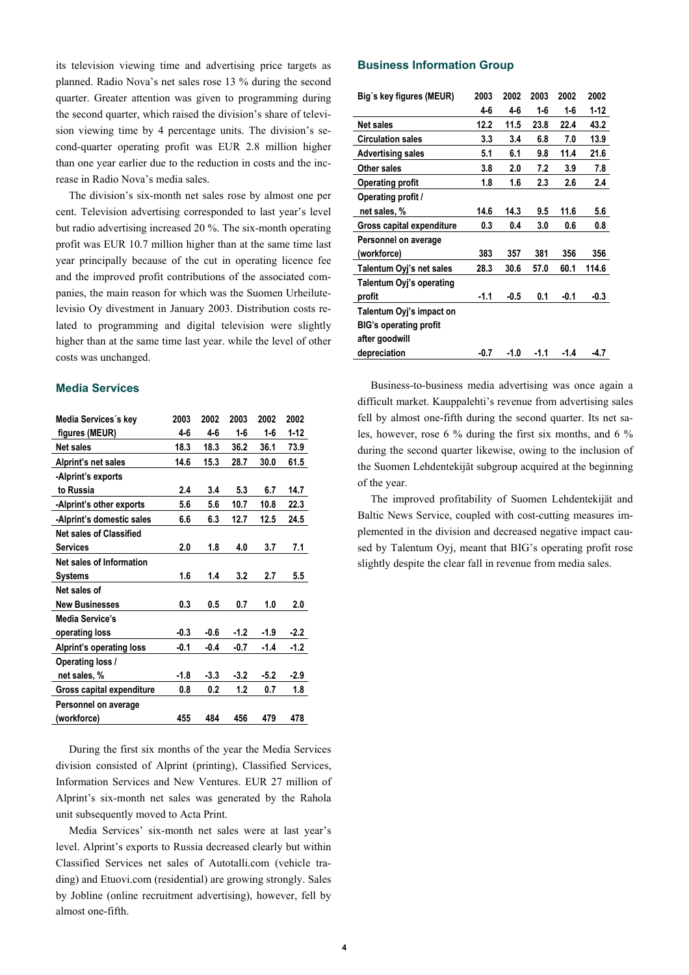its television viewing time and advertising price targets as planned. Radio Nova's net sales rose 13 % during the second quarter. Greater attention was given to programming during the second quarter, which raised the division's share of television viewing time by 4 percentage units. The division's second-quarter operating profit was EUR 2.8 million higher than one year earlier due to the reduction in costs and the increase in Radio Nova's media sales.

The division's six-month net sales rose by almost one per cent. Television advertising corresponded to last year's level but radio advertising increased 20 %. The six-month operating profit was EUR 10.7 million higher than at the same time last year principally because of the cut in operating licence fee and the improved profit contributions of the associated companies, the main reason for which was the Suomen Urheilutelevisio Oy divestment in January 2003. Distribution costs related to programming and digital television were slightly higher than at the same time last year. while the level of other costs was unchanged.

# **Media Services**

| Media Services's key             | 2003   | 2002    | 2003    | 2002    | 2002   |
|----------------------------------|--------|---------|---------|---------|--------|
| figures (MEUR)                   | 4-6    | $4 - 6$ | $1 - 6$ | $1 - 6$ | $1-12$ |
| <b>Net sales</b>                 | 18.3   | 18.3    | 36.2    | 36.1    | 73.9   |
| Alprint's net sales              | 14.6   | 15.3    | 28.7    | 30.0    | 61.5   |
| -Alprint's exports               |        |         |         |         |        |
| to Russia                        | 2.4    | 3.4     | 5.3     | 6.7     | 14.7   |
| -Alprint's other exports         | 5.6    | 5.6     | 10.7    | 10.8    | 22.3   |
| -Alprint's domestic sales        | 6.6    | 6.3     | 12.7    | 12.5    | 24.5   |
| Net sales of Classified          |        |         |         |         |        |
| <b>Services</b>                  | 2.0    | 1.8     | 4.0     | 3.7     | 7.1    |
| <b>Net sales of Information</b>  |        |         |         |         |        |
| <b>Systems</b>                   | 1.6    | 1.4     | 3.2     | 2.7     | 5.5    |
| Net sales of                     |        |         |         |         |        |
| <b>New Businesses</b>            | 0.3    | 0.5     | 0.7     | 1.0     | 2.0    |
| Media Service's                  |        |         |         |         |        |
| operating loss                   | $-0.3$ | $-0.6$  | $-1.2$  | $-1.9$  | $-2.2$ |
| Alprint's operating loss         | $-0.1$ | $-0.4$  | $-0.7$  | $-1.4$  | -1.2   |
| Operating loss /                 |        |         |         |         |        |
| net sales, %                     | -1.8   | $-3.3$  | $-3.2$  | $-5.2$  | $-2.9$ |
| <b>Gross capital expenditure</b> | 0.8    | 0.2     | 1.2     | 0.7     | 1.8    |
| Personnel on average             |        |         |         |         |        |
| (workforce)                      | 455    | 484     | 456     | 479     | 478    |

During the first six months of the year the Media Services division consisted of Alprint (printing), Classified Services, Information Services and New Ventures. EUR 27 million of Alprint's six-month net sales was generated by the Rahola unit subsequently moved to Acta Print.

Media Services' six-month net sales were at last year's level. Alprint's exports to Russia decreased clearly but within Classified Services net sales of Autotalli.com (vehicle trading) and Etuovi.com (residential) are growing strongly. Sales by Jobline (online recruitment advertising), however, fell by almost one-fifth.

## **Business Information Group**

| Big's key figures (MEUR)      | 2003   | 2002 | 2003    | 2002    | 2002     |
|-------------------------------|--------|------|---------|---------|----------|
|                               | 4-6    | 4-6  | $1 - 6$ | $1 - 6$ | $1 - 12$ |
| <b>Net sales</b>              | 12.2   | 11.5 | 23.8    | 22.4    | 43.2     |
| <b>Circulation sales</b>      | 3.3    | 3.4  | 6.8     | 7.0     | 13.9     |
| <b>Advertising sales</b>      | 5.1    | 6.1  | 9.8     | 11.4    | 21.6     |
| <b>Other sales</b>            | 3.8    | 2.0  | 7.2     | 3.9     | 7.8      |
| <b>Operating profit</b>       | 1.8    | 1.6  | 2.3     | 2.6     | 2.4      |
| Operating profit /            |        |      |         |         |          |
| net sales, %                  | 14.6   | 14.3 | 9.5     | 11.6    | 5.6      |
| Gross capital expenditure     | 0.3    | 0.4  | 3.0     | 0.6     | 0.8      |
| Personnel on average          |        |      |         |         |          |
| (workforce)                   | 383    | 357  | 381     | 356     | 356      |
| Talentum Oyj's net sales      | 28.3   | 30.6 | 57.0    | 60.1    | 114.6    |
| Talentum Oyj's operating      |        |      |         |         |          |
| profit                        | $-1.1$ | -0.5 | 0.1     | $-0.1$  | -0.3     |
| Talentum Oyj's impact on      |        |      |         |         |          |
| <b>BIG's operating profit</b> |        |      |         |         |          |
| after goodwill                |        |      |         |         |          |
| depreciation                  | -0.7   | -1.0 | $-1.1$  | -1.4    | -4.7     |

Business-to-business media advertising was once again a difficult market. Kauppalehti's revenue from advertising sales fell by almost one-fifth during the second quarter. Its net sales, however, rose 6 % during the first six months, and 6 % during the second quarter likewise, owing to the inclusion of the Suomen Lehdentekijät subgroup acquired at the beginning of the year.

The improved profitability of Suomen Lehdentekijät and Baltic News Service, coupled with cost-cutting measures implemented in the division and decreased negative impact caused by Talentum Oyj, meant that BIG's operating profit rose slightly despite the clear fall in revenue from media sales.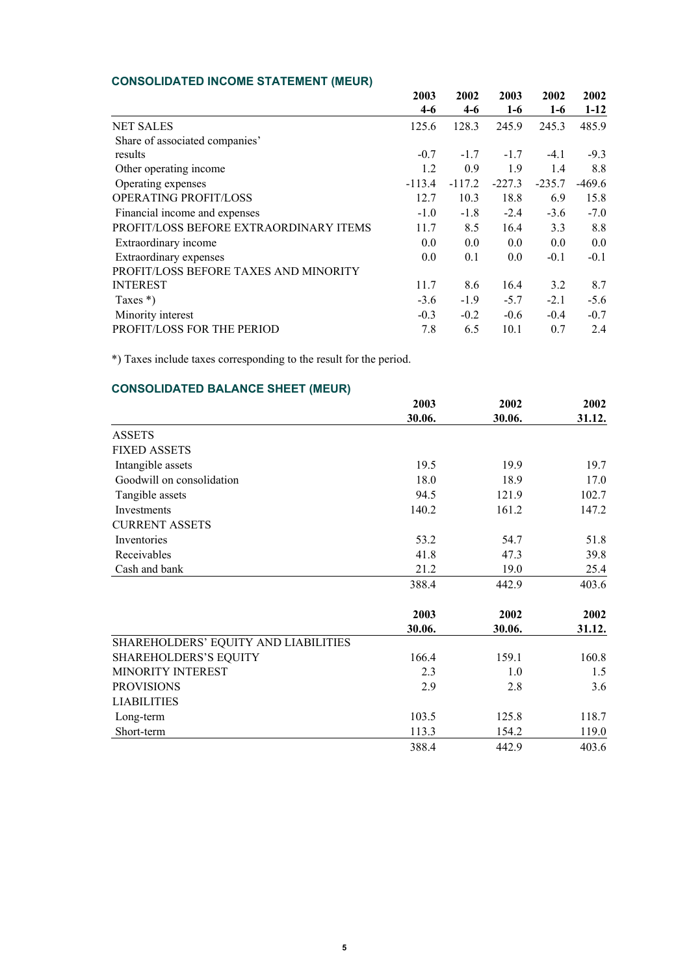# **CONSOLIDATED INCOME STATEMENT (MEUR)**

|                                        | 2003     | 2002     | 2003     | 2002     | 2002     |
|----------------------------------------|----------|----------|----------|----------|----------|
|                                        | $4-6$    | $4-6$    | $1-6$    | $1-6$    | $1 - 12$ |
| <b>NET SALES</b>                       | 125.6    | 128.3    | 245.9    | 245.3    | 485.9    |
| Share of associated companies'         |          |          |          |          |          |
| results                                | $-0.7$   | $-1.7$   | $-1.7$   | $-4.1$   | $-9.3$   |
| Other operating income                 | 1.2      | 0.9      | 1.9      | 1.4      | 8.8      |
| Operating expenses                     | $-113.4$ | $-117.2$ | $-227.3$ | $-235.7$ | $-469.6$ |
| OPERATING PROFIT/LOSS                  | 12.7     | 10.3     | 18.8     | 6.9      | 15.8     |
| Financial income and expenses          | $-1.0$   | $-1.8$   | $-2.4$   | $-3.6$   | $-7.0$   |
| PROFIT/LOSS BEFORE EXTRAORDINARY ITEMS | 11.7     | 8.5      | 16.4     | 3.3      | 8.8      |
| Extraordinary income                   | 0.0      | 0.0      | 0.0      | 0.0      | 0.0      |
| Extraordinary expenses                 | 0.0      | 0.1      | 0.0      | $-0.1$   | $-0.1$   |
| PROFIT/LOSS BEFORE TAXES AND MINORITY  |          |          |          |          |          |
| <b>INTEREST</b>                        | 11.7     | 8.6      | 16.4     | 3.2      | 8.7      |
| Taxes $*)$                             | $-3.6$   | $-1.9$   | $-5.7$   | $-2.1$   | $-5.6$   |
| Minority interest                      | $-0.3$   | $-0.2$   | $-0.6$   | $-0.4$   | $-0.7$   |
| PROFIT/LOSS FOR THE PERIOD             | 7.8      | 6.5      | 10.1     | 0.7      | 2.4      |

\*) Taxes include taxes corresponding to the result for the period.

# **CONSOLIDATED BALANCE SHEET (MEUR)**

|                                      | 2003   | 2002   | 2002   |
|--------------------------------------|--------|--------|--------|
|                                      | 30.06. | 30.06. | 31.12. |
| <b>ASSETS</b>                        |        |        |        |
| <b>FIXED ASSETS</b>                  |        |        |        |
| Intangible assets                    | 19.5   | 19.9   | 19.7   |
| Goodwill on consolidation            | 18.0   | 18.9   | 17.0   |
| Tangible assets                      | 94.5   | 121.9  | 102.7  |
| Investments                          | 140.2  | 161.2  | 147.2  |
| <b>CURRENT ASSETS</b>                |        |        |        |
| Inventories                          | 53.2   | 54.7   | 51.8   |
| Receivables                          | 41.8   | 47.3   | 39.8   |
| Cash and bank                        | 21.2   | 19.0   | 25.4   |
|                                      | 388.4  | 442.9  | 403.6  |
|                                      | 2003   | 2002   | 2002   |
|                                      | 30.06. | 30.06. | 31.12. |
| SHAREHOLDERS' EQUITY AND LIABILITIES |        |        |        |
| <b>SHAREHOLDERS'S EQUITY</b>         | 166.4  | 159.1  | 160.8  |
| MINORITY INTEREST                    | 2.3    | 1.0    | 1.5    |
| <b>PROVISIONS</b>                    | 2.9    | 2.8    | 3.6    |
| <b>LIABILITIES</b>                   |        |        |        |
| Long-term                            | 103.5  | 125.8  | 118.7  |
| Short-term                           | 113.3  | 154.2  | 119.0  |
|                                      | 388.4  | 442.9  | 403.6  |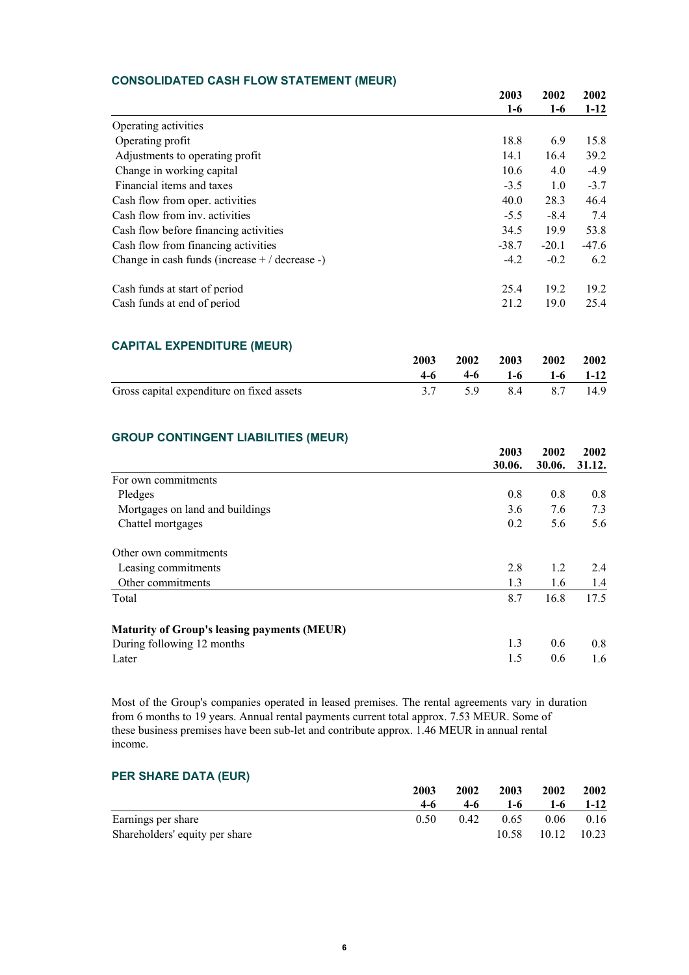# **CONSOLIDATED CASH FLOW STATEMENT (MEUR)**

|                                                  | 2003    | 2002<br>$1-6$ | 2002    |
|--------------------------------------------------|---------|---------------|---------|
|                                                  | $1-6$   |               | $1-12$  |
| Operating activities                             |         |               |         |
| Operating profit                                 | 18.8    | 6.9           | 15.8    |
| Adjustments to operating profit                  | 14.1    | 16.4          | 39.2    |
| Change in working capital                        | 10.6    | 4.0           | $-4.9$  |
| Financial items and taxes                        | $-3.5$  | 1.0           | $-3.7$  |
| Cash flow from oper. activities                  | 40.0    | 28.3          | 46.4    |
| Cash flow from inv. activities                   | $-5.5$  | $-8.4$        | 7.4     |
| Cash flow before financing activities            | 34.5    | 19.9          | 53.8    |
| Cash flow from financing activities              | $-38.7$ | $-20.1$       | $-47.6$ |
| Change in cash funds (increase $+ /$ decrease -) | $-4.2$  | $-0.2$        | 6.2     |
| Cash funds at start of period                    | 25.4    | 19.2          | 19.2    |
| Cash funds at end of period                      | 21.2    | 19.0          | 25.4    |

# **CAPITAL EXPENDITURE (MEUR)**

|                                           | 2003  |                    | 2002 2003 2002 2002 |  |
|-------------------------------------------|-------|--------------------|---------------------|--|
|                                           | $4-6$ | $4-6$ 1-6 1-6 1-12 |                     |  |
| Gross capital expenditure on fixed assets |       | 5.9 8.4 8.7 14.9   |                     |  |

# **GROUP CONTINGENT LIABILITIES (MEUR)**

|                                                    | 2003   | 2002<br>30.06. | 2002<br>31.12. |
|----------------------------------------------------|--------|----------------|----------------|
|                                                    | 30.06. |                |                |
| For own commitments                                |        |                |                |
| Pledges                                            | 0.8    | 0.8            | 0.8            |
| Mortgages on land and buildings                    | 3.6    | 7.6            | 7.3            |
| Chattel mortgages                                  | 0.2    | 5.6            | 5.6            |
| Other own commitments                              |        |                |                |
| Leasing commitments                                | 2.8    | 1.2            | 2.4            |
| Other commitments                                  | 1.3    | 1.6            | 1.4            |
| Total                                              | 8.7    | 16.8           | 17.5           |
| <b>Maturity of Group's leasing payments (MEUR)</b> |        |                |                |
| During following 12 months                         | 1.3    | 0.6            | 0.8            |
| Later                                              | 1.5    | 0.6            | 1.6            |

Most of the Group's companies operated in leased premises. The rental agreements vary in duration from 6 months to 19 years. Annual rental payments current total approx. 7.53 MEUR. Some of these business premises have been sub-let and contribute approx. 1.46 MEUR in annual rental income.

# **PER SHARE DATA (EUR)**

|                                | 2003 | 2002 | 2003  | 2002              | 2002        |
|--------------------------------|------|------|-------|-------------------|-------------|
|                                | 4-6  | 4-6  | $1-6$ | $1-6$             | $1-12$      |
| Earnings per share             | 0.50 | 0.42 | 0.65  |                   | $0.06$ 0.16 |
| Shareholders' equity per share |      |      |       | 10.58 10.12 10.23 |             |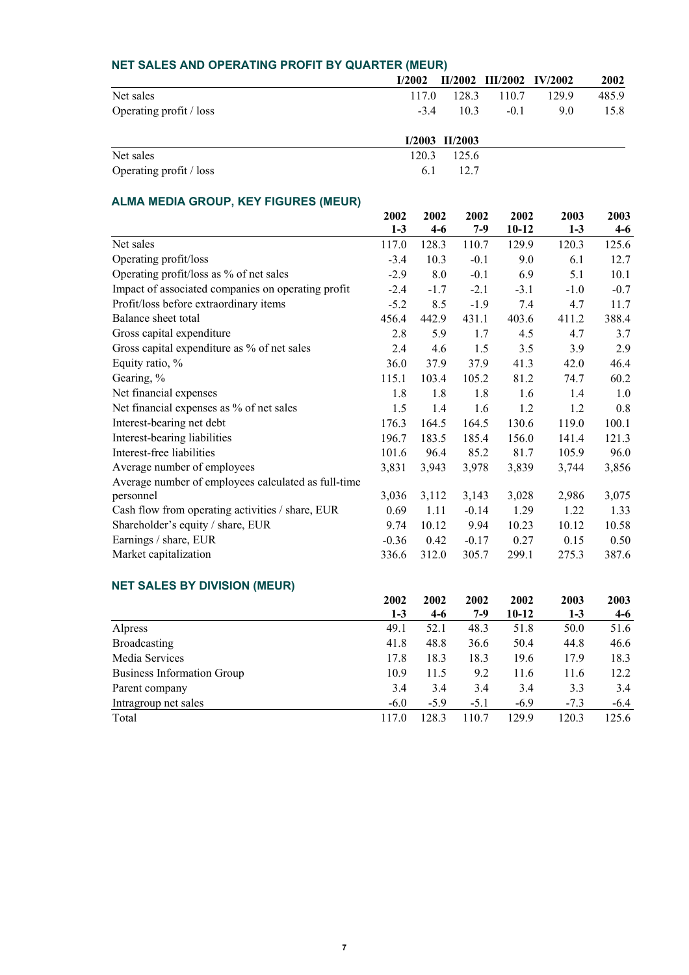| NET SALES AND OPERATING PROFIT BY QUARTER (MEUR) |        |                    |                          |      |       |
|--------------------------------------------------|--------|--------------------|--------------------------|------|-------|
|                                                  | I/2002 |                    | II/2002 III/2002 IV/2002 |      | 2002  |
| Net sales                                        | 1170   | 128.3              | 110.7                    | 1299 | 485.9 |
| Operating profit / loss                          | $-3.4$ | 10.3               | $-0.1$                   | 9.0  | 15.8  |
|                                                  |        | $I/2003$ $II/2003$ |                          |      |       |
| Net sales                                        | 120.3  | 1256               |                          |      |       |
| Operating profit / loss                          | 6.1    | 12.7               |                          |      |       |

# **ALMA MEDIA GROUP, KEY FIGURES (MEUR)**

|                                                     | 2002    | 2002    | 2002    | 2002      | 2003   | 2003    |
|-----------------------------------------------------|---------|---------|---------|-----------|--------|---------|
|                                                     | $1-3$   | $4 - 6$ | $7-9$   | $10 - 12$ | $1-3$  | $4-6$   |
| Net sales                                           | 117.0   | 128.3   | 110.7   | 129.9     | 120.3  | 125.6   |
| Operating profit/loss                               | $-3.4$  | 10.3    | $-0.1$  | 9.0       | 6.1    | 12.7    |
| Operating profit/loss as % of net sales             | $-2.9$  | 8.0     | $-0.1$  | 6.9       | 5.1    | 10.1    |
| Impact of associated companies on operating profit  | $-2.4$  | $-1.7$  | $-2.1$  | $-3.1$    | $-1.0$ | $-0.7$  |
| Profit/loss before extraordinary items              | $-5.2$  | 8.5     | $-1.9$  | 7.4       | 4.7    | 11.7    |
| Balance sheet total                                 | 456.4   | 442.9   | 431.1   | 403.6     | 411.2  | 388.4   |
| Gross capital expenditure                           | 2.8     | 5.9     | 1.7     | 4.5       | 4.7    | 3.7     |
| Gross capital expenditure as % of net sales         | 2.4     | 4.6     | 1.5     | 3.5       | 3.9    | 2.9     |
| Equity ratio, %                                     | 36.0    | 37.9    | 37.9    | 41.3      | 42.0   | 46.4    |
| Gearing, %                                          | 115.1   | 103.4   | 105.2   | 81.2      | 74.7   | 60.2    |
| Net financial expenses                              | 1.8     | 1.8     | 1.8     | 1.6       | 1.4    | 1.0     |
| Net financial expenses as % of net sales            | 1.5     | 1.4     | 1.6     | 1.2       | 1.2    | 0.8     |
| Interest-bearing net debt                           | 176.3   | 164.5   | 164.5   | 130.6     | 119.0  | 100.1   |
| Interest-bearing liabilities                        | 196.7   | 183.5   | 185.4   | 156.0     | 141.4  | 121.3   |
| Interest-free liabilities                           | 101.6   | 96.4    | 85.2    | 81.7      | 105.9  | 96.0    |
| Average number of employees                         | 3,831   | 3,943   | 3,978   | 3,839     | 3,744  | 3,856   |
| Average number of employees calculated as full-time |         |         |         |           |        |         |
| personnel                                           | 3,036   | 3,112   | 3,143   | 3,028     | 2,986  | 3,075   |
| Cash flow from operating activities / share, EUR    | 0.69    | 1.11    | $-0.14$ | 1.29      | 1.22   | 1.33    |
| Shareholder's equity / share, EUR                   | 9.74    | 10.12   | 9.94    | 10.23     | 10.12  | 10.58   |
| Earnings / share, EUR                               | $-0.36$ | 0.42    | $-0.17$ | 0.27      | 0.15   | 0.50    |
| Market capitalization                               | 336.6   | 312.0   | 305.7   | 299.1     | 275.3  | 387.6   |
| <b>NET SALES BY DIVISION (MEUR)</b>                 |         |         |         |           |        |         |
|                                                     | 2002    | 2002    | 2002    | 2002      | 2003   | 2003    |
|                                                     | $1-3$   | $4 - 6$ | $7-9$   | $10 - 12$ | $1-3$  | $4 - 6$ |
| Alpress                                             | 49.1    | 52.1    | 48.3    | 51.8      | 50.0   | 51.6    |
| <b>Broadcasting</b>                                 | 41.8    | 48.8    | 36.6    | 50.4      | 44.8   | 46.6    |
| Media Services                                      | 17.8    | 18.3    | 18.3    | 19.6      | 17.9   | 18.3    |
| <b>Business Information Group</b>                   | 10.9    | 11.5    | 9.2     | 11.6      | 11.6   | 12.2    |
| Parent company                                      | 3.4     | 3.4     | 3.4     | 3.4       | 3.3    | 3.4     |
| Intragroup net sales                                | $-6.0$  | $-5.9$  | $-5.1$  | $-6.9$    | $-7.3$ | $-6.4$  |
| Total                                               | 117.0   | 128.3   | 110.7   | 129.9     | 120.3  | 125.6   |